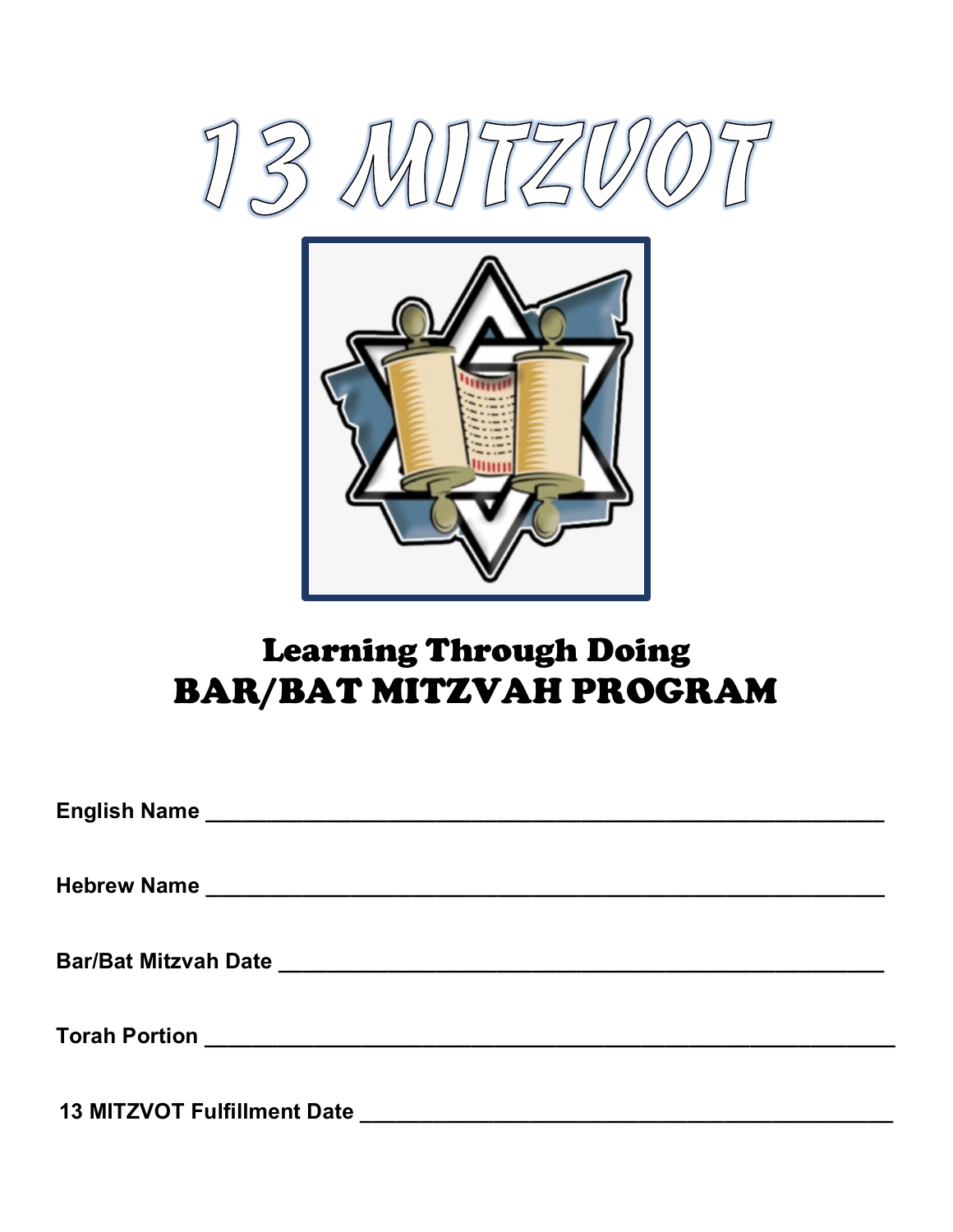



# Learning Through Doing BAR/BAT MITZVAH PROGRAM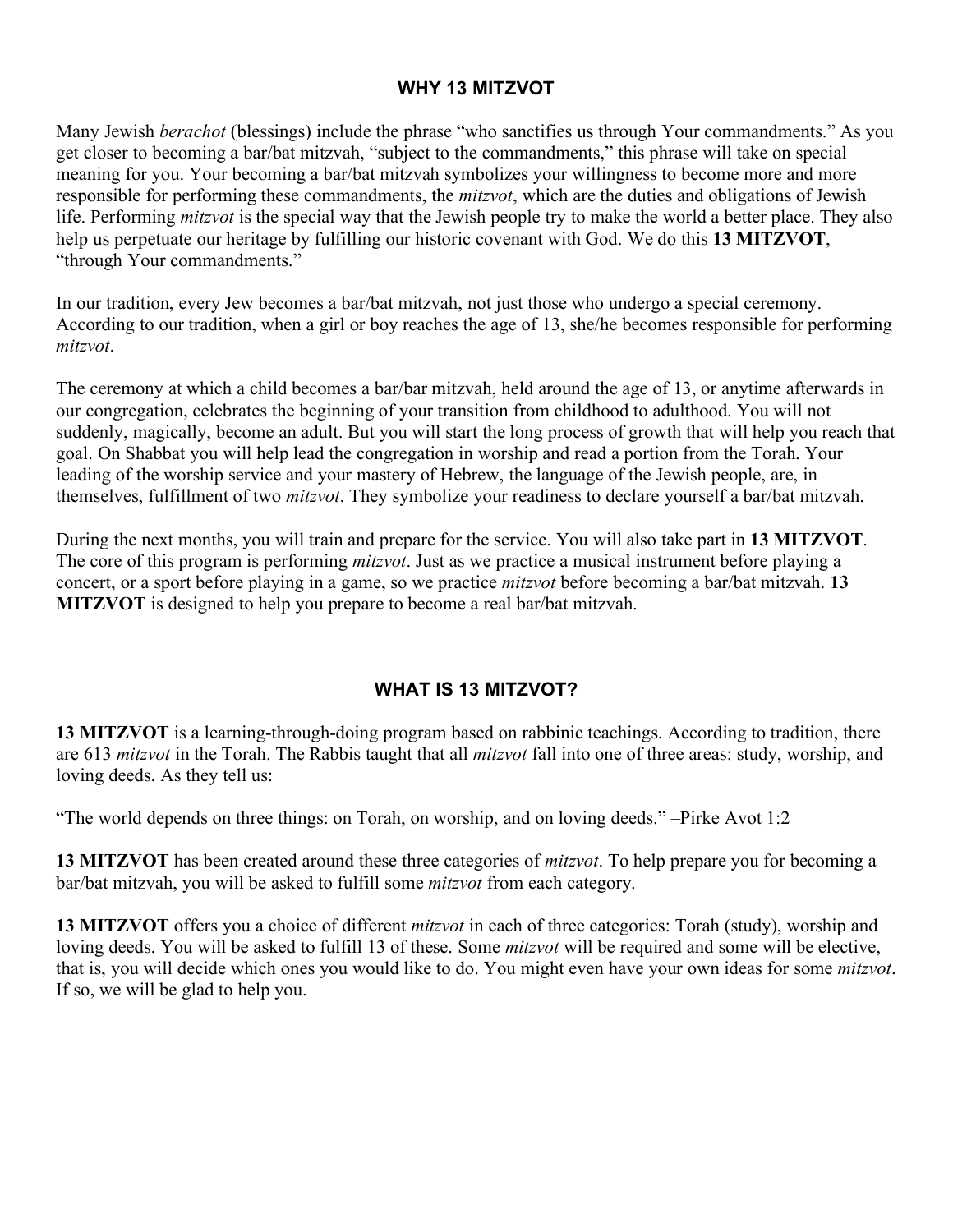#### **WHY 13 MITZVOT**

Many Jewish *berachot* (blessings) include the phrase "who sanctifies us through Your commandments." As you get closer to becoming a bar/bat mitzvah, "subject to the commandments," this phrase will take on special meaning for you. Your becoming a bar/bat mitzvah symbolizes your willingness to become more and more responsible for performing these commandments, the *mitzvot*, which are the duties and obligations of Jewish life. Performing *mitzvot* is the special way that the Jewish people try to make the world a better place. They also help us perpetuate our heritage by fulfilling our historic covenant with God. We do this **13 MITZVOT**, "through Your commandments."

In our tradition, every Jew becomes a bar/bat mitzvah, not just those who undergo a special ceremony. According to our tradition, when a girl or boy reaches the age of 13, she/he becomes responsible for performing *mitzvot*.

The ceremony at which a child becomes a bar/bar mitzvah, held around the age of 13, or anytime afterwards in our congregation, celebrates the beginning of your transition from childhood to adulthood. You will not suddenly, magically, become an adult. But you will start the long process of growth that will help you reach that goal. On Shabbat you will help lead the congregation in worship and read a portion from the Torah. Your leading of the worship service and your mastery of Hebrew, the language of the Jewish people, are, in themselves, fulfillment of two *mitzvot*. They symbolize your readiness to declare yourself a bar/bat mitzvah.

During the next months, you will train and prepare for the service. You will also take part in **13 MITZVOT**. The core of this program is performing *mitzvot*. Just as we practice a musical instrument before playing a concert, or a sport before playing in a game, so we practice *mitzvot* before becoming a bar/bat mitzvah. **13 MITZVOT** is designed to help you prepare to become a real bar/bat mitzvah.

### **WHAT IS 13 MITZVOT?**

**13 MITZVOT** is a learning-through-doing program based on rabbinic teachings. According to tradition, there are 613 *mitzvot* in the Torah. The Rabbis taught that all *mitzvot* fall into one of three areas: study, worship, and loving deeds. As they tell us:

"The world depends on three things: on Torah, on worship, and on loving deeds." –Pirke Avot 1:2

**13 MITZVOT** has been created around these three categories of *mitzvot*. To help prepare you for becoming a bar/bat mitzvah, you will be asked to fulfill some *mitzvot* from each category.

**13 MITZVOT** offers you a choice of different *mitzvot* in each of three categories: Torah (study), worship and loving deeds. You will be asked to fulfill 13 of these. Some *mitzvot* will be required and some will be elective, that is, you will decide which ones you would like to do. You might even have your own ideas for some *mitzvot*. If so, we will be glad to help you.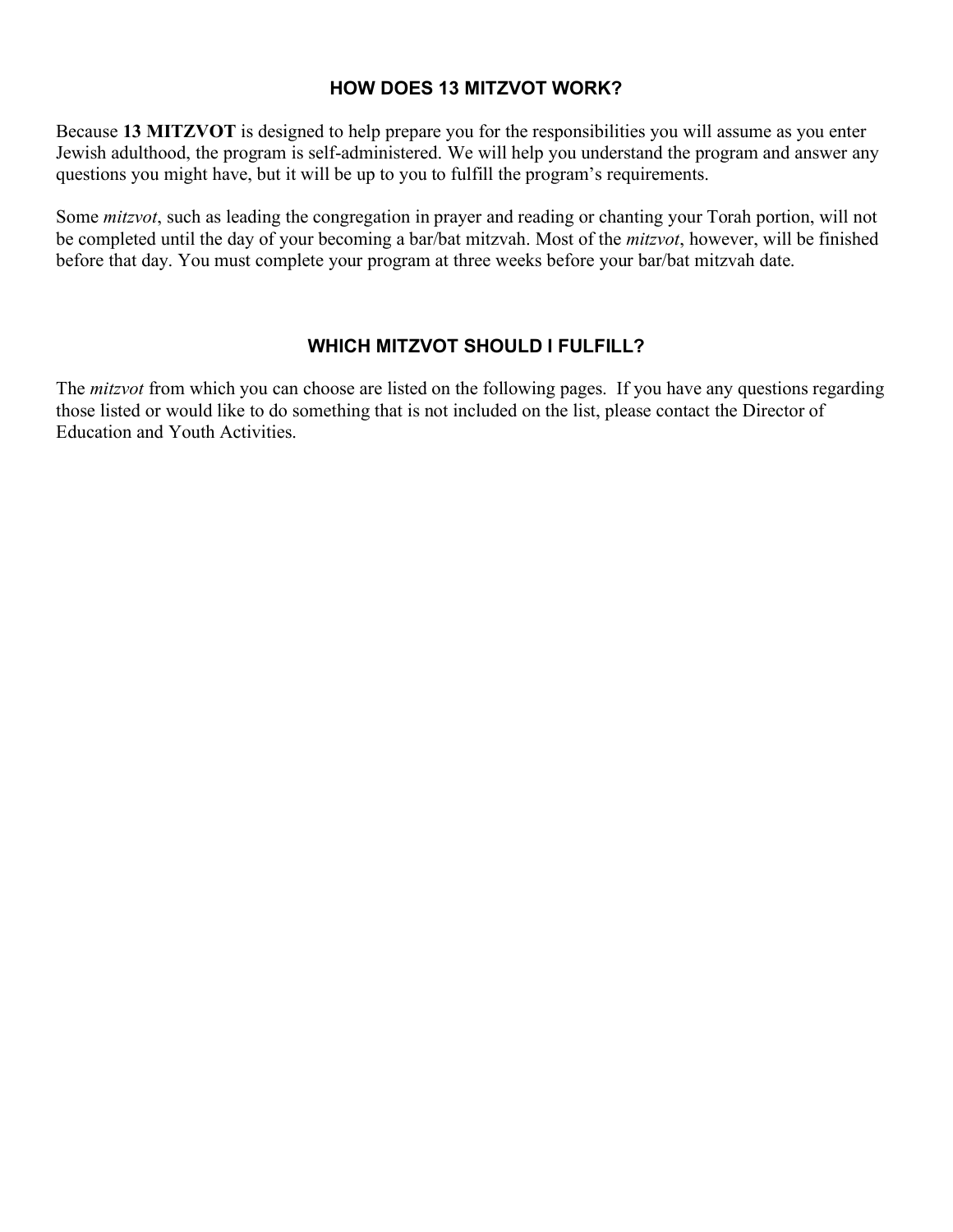#### **HOW DOES 13 MITZVOT WORK?**

Because **13 MITZVOT** is designed to help prepare you for the responsibilities you will assume as you enter Jewish adulthood, the program is self-administered. We will help you understand the program and answer any questions you might have, but it will be up to you to fulfill the program's requirements.

Some *mitzvot*, such as leading the congregation in prayer and reading or chanting your Torah portion, will not be completed until the day of your becoming a bar/bat mitzvah. Most of the *mitzvot*, however, will be finished before that day. You must complete your program at three weeks before your bar/bat mitzvah date.

## **WHICH MITZVOT SHOULD I FULFILL?**

The *mitzvot* from which you can choose are listed on the following pages. If you have any questions regarding those listed or would like to do something that is not included on the list, please contact the Director of Education and Youth Activities.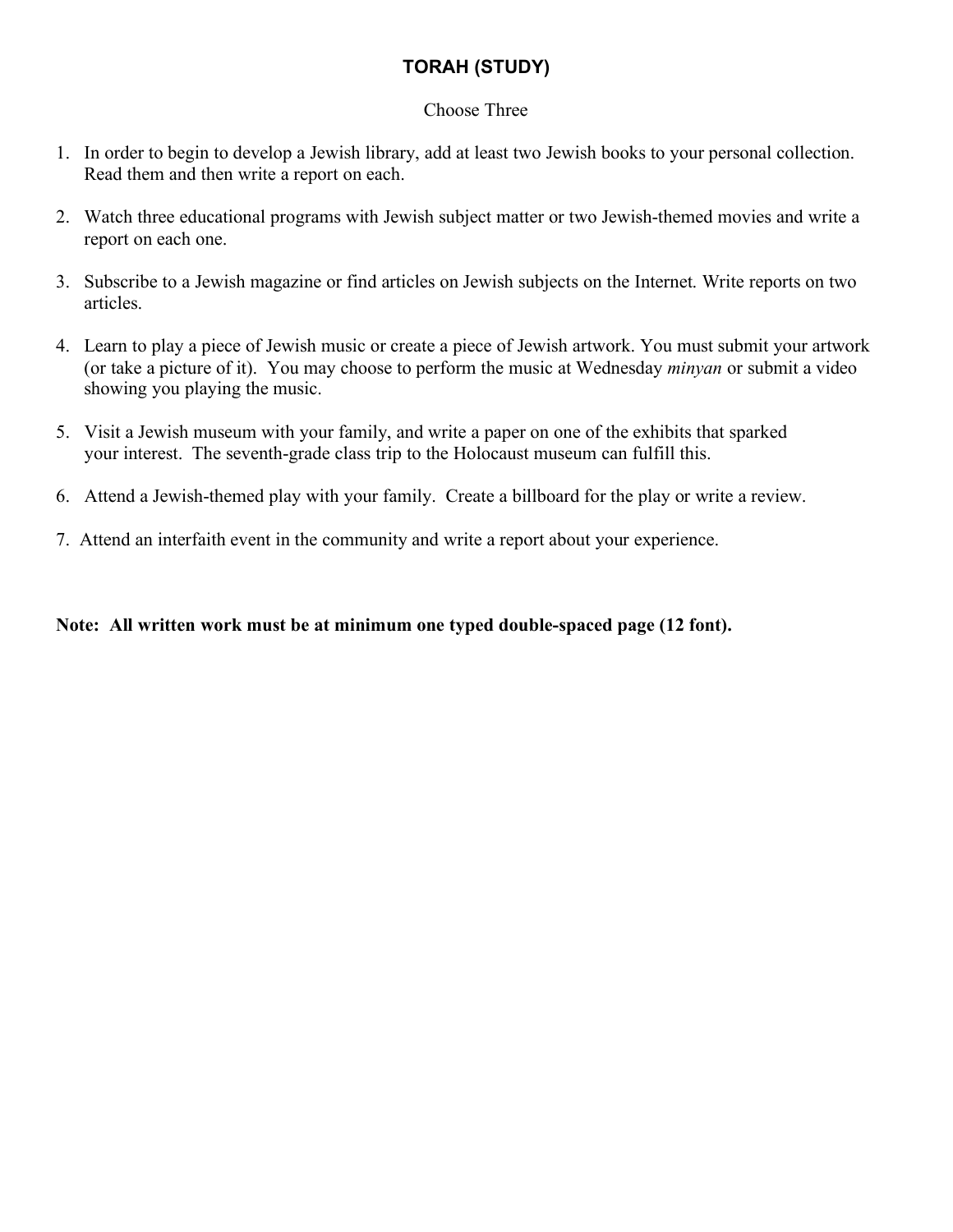## **TORAH (STUDY)**

#### Choose Three

- 1. In order to begin to develop a Jewish library, add at least two Jewish books to your personal collection. Read them and then write a report on each.
- 2. Watch three educational programs with Jewish subject matter or two Jewish-themed movies and write a report on each one.
- 3. Subscribe to a Jewish magazine or find articles on Jewish subjects on the Internet. Write reports on two articles.
- 4. Learn to play a piece of Jewish music or create a piece of Jewish artwork. You must submit your artwork (or take a picture of it). You may choose to perform the music at Wednesday *minyan* or submit a video showing you playing the music.
- 5. Visit a Jewish museum with your family, and write a paper on one of the exhibits that sparked your interest. The seventh-grade class trip to the Holocaust museum can fulfill this.
- 6. Attend a Jewish-themed play with your family. Create a billboard for the play or write a review.
- 7. Attend an interfaith event in the community and write a report about your experience.

#### **Note: All written work must be at minimum one typed double-spaced page (12 font).**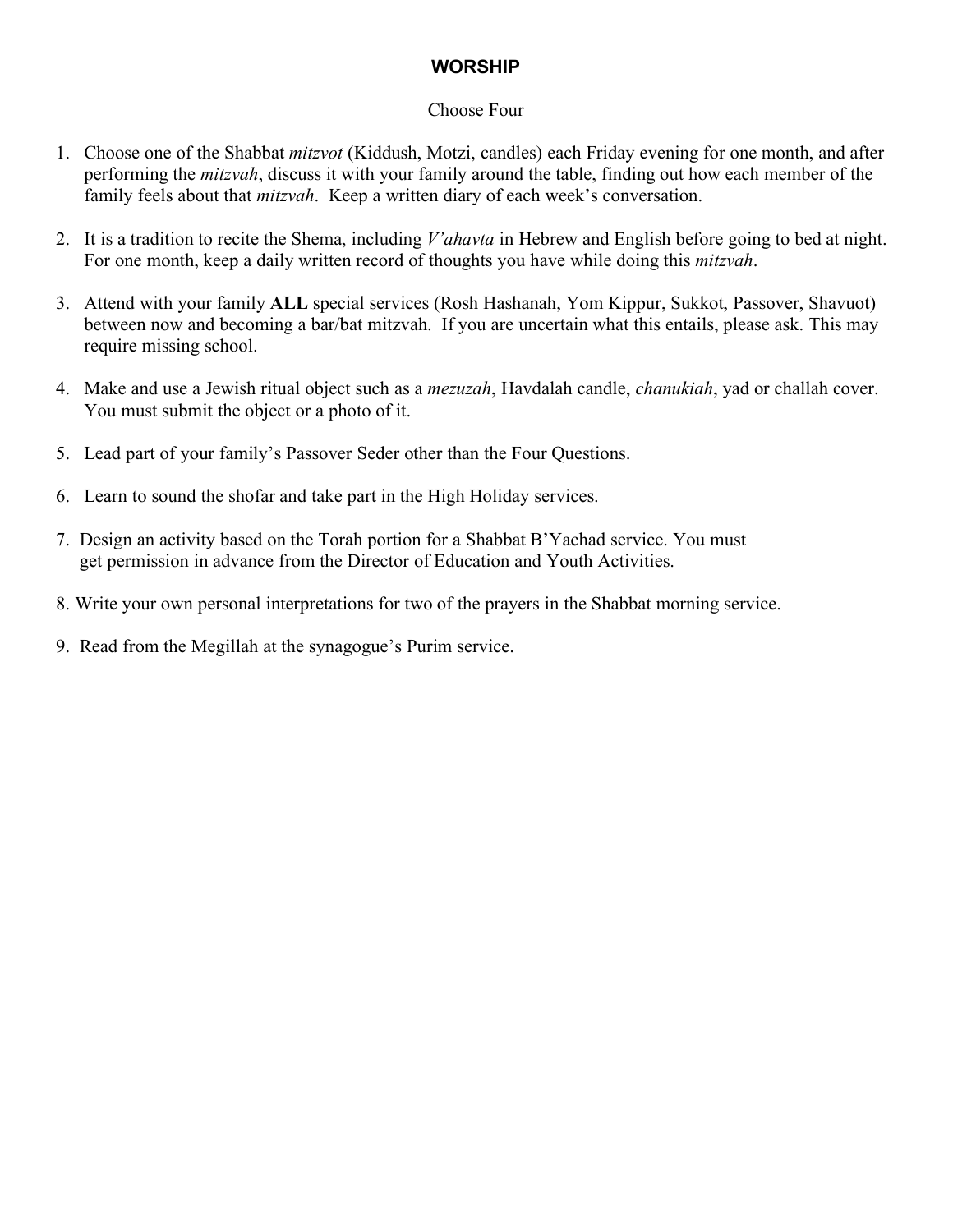## **WORSHIP**

#### Choose Four

- 1. Choose one of the Shabbat *mitzvot* (Kiddush, Motzi, candles) each Friday evening for one month, and after performing the *mitzvah*, discuss it with your family around the table, finding out how each member of the family feels about that *mitzvah*. Keep a written diary of each week's conversation.
- 2. It is a tradition to recite the Shema, including *V'ahavta* in Hebrew and English before going to bed at night. For one month, keep a daily written record of thoughts you have while doing this *mitzvah*.
- 3. Attend with your family **ALL** special services (Rosh Hashanah, Yom Kippur, Sukkot, Passover, Shavuot) between now and becoming a bar/bat mitzvah. If you are uncertain what this entails, please ask. This may require missing school.
- 4. Make and use a Jewish ritual object such as a *mezuzah*, Havdalah candle, *chanukiah*, yad or challah cover. You must submit the object or a photo of it.
- 5. Lead part of your family's Passover Seder other than the Four Questions.
- 6. Learn to sound the shofar and take part in the High Holiday services.
- 7. Design an activity based on the Torah portion for a Shabbat B'Yachad service. You must get permission in advance from the Director of Education and Youth Activities.
- 8. Write your own personal interpretations for two of the prayers in the Shabbat morning service.
- 9. Read from the Megillah at the synagogue's Purim service.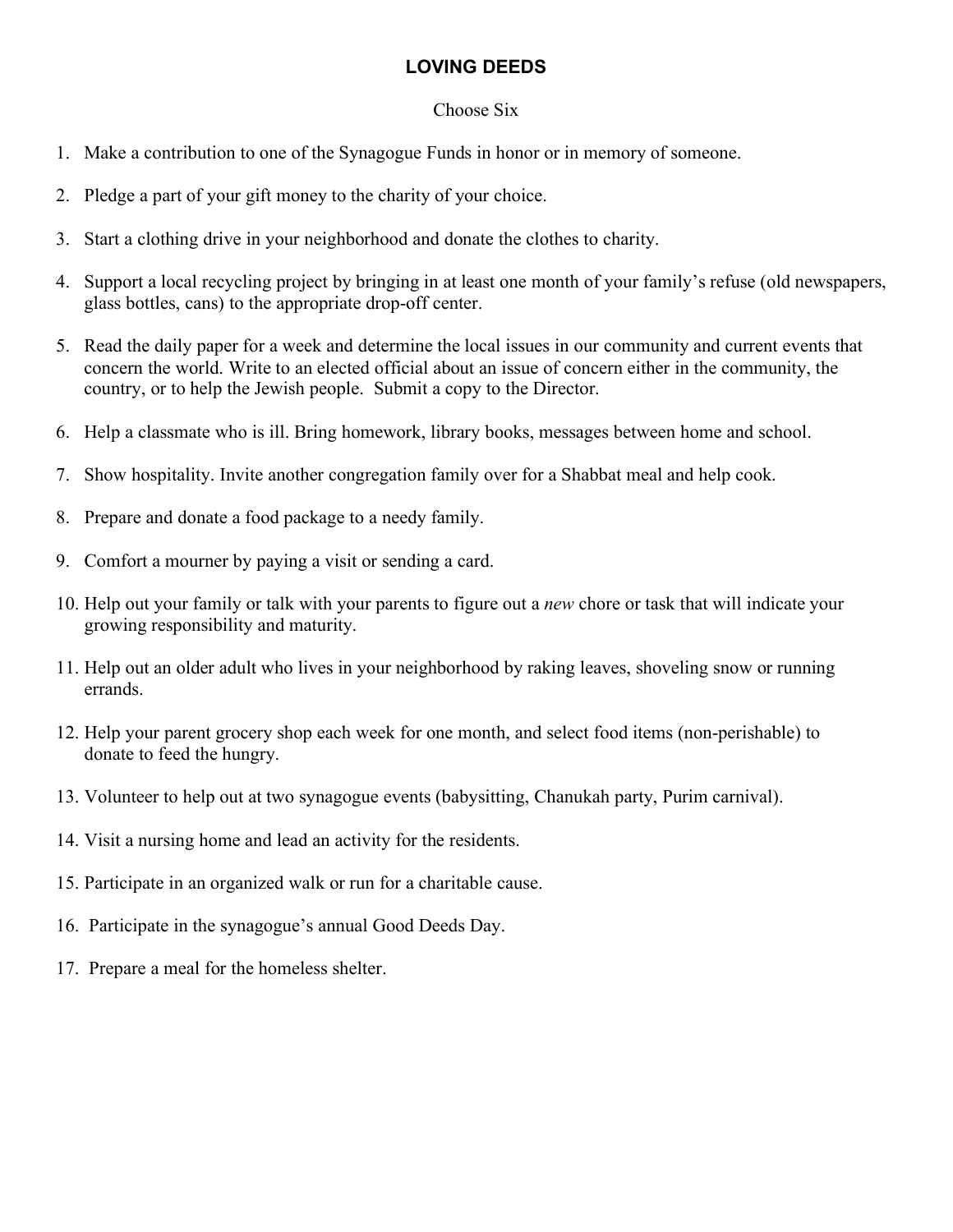## **LOVING DEEDS**

#### Choose Six

- 1. Make a contribution to one of the Synagogue Funds in honor or in memory of someone.
- 2. Pledge a part of your gift money to the charity of your choice.
- 3. Start a clothing drive in your neighborhood and donate the clothes to charity.
- 4. Support a local recycling project by bringing in at least one month of your family's refuse (old newspapers, glass bottles, cans) to the appropriate drop-off center.
- 5. Read the daily paper for a week and determine the local issues in our community and current events that concern the world. Write to an elected official about an issue of concern either in the community, the country, or to help the Jewish people. Submit a copy to the Director.
- 6. Help a classmate who is ill. Bring homework, library books, messages between home and school.
- 7. Show hospitality. Invite another congregation family over for a Shabbat meal and help cook.
- 8. Prepare and donate a food package to a needy family.
- 9. Comfort a mourner by paying a visit or sending a card.
- 10. Help out your family or talk with your parents to figure out a *new* chore or task that will indicate your growing responsibility and maturity.
- 11. Help out an older adult who lives in your neighborhood by raking leaves, shoveling snow or running errands.
- 12. Help your parent grocery shop each week for one month, and select food items (non-perishable) to donate to feed the hungry.
- 13. Volunteer to help out at two synagogue events (babysitting, Chanukah party, Purim carnival).
- 14. Visit a nursing home and lead an activity for the residents.
- 15. Participate in an organized walk or run for a charitable cause.
- 16. Participate in the synagogue's annual Good Deeds Day.
- 17. Prepare a meal for the homeless shelter.